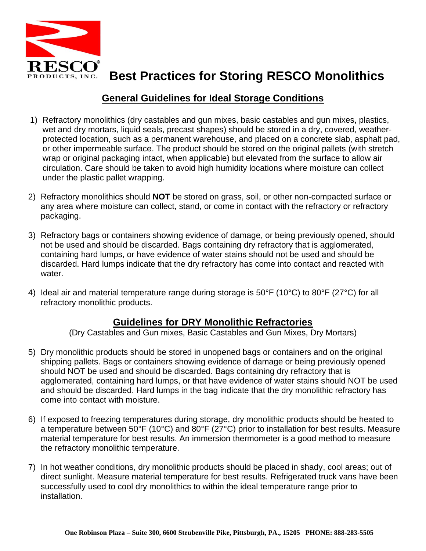

#### **General Guidelines for Ideal Storage Conditions**

- 1) Refractory monolithics (dry castables and gun mixes, basic castables and gun mixes, plastics, wet and dry mortars, liquid seals, precast shapes) should be stored in a dry, covered, weatherprotected location, such as a permanent warehouse, and placed on a concrete slab, asphalt pad, or other impermeable surface. The product should be stored on the original pallets (with stretch wrap or original packaging intact, when applicable) but elevated from the surface to allow air circulation. Care should be taken to avoid high humidity locations where moisture can collect under the plastic pallet wrapping.
- 2) Refractory monolithics should **NOT** be stored on grass, soil, or other non-compacted surface or any area where moisture can collect, stand, or come in contact with the refractory or refractory packaging.
- 3) Refractory bags or containers showing evidence of damage, or being previously opened, should not be used and should be discarded. Bags containing dry refractory that is agglomerated, containing hard lumps, or have evidence of water stains should not be used and should be discarded. Hard lumps indicate that the dry refractory has come into contact and reacted with water.
- 4) Ideal air and material temperature range during storage is 50°F (10°C) to 80°F (27°C) for all refractory monolithic products.

#### **Guidelines for DRY Monolithic Refractories**

(Dry Castables and Gun mixes, Basic Castables and Gun Mixes, Dry Mortars)

- 5) Dry monolithic products should be stored in unopened bags or containers and on the original shipping pallets. Bags or containers showing evidence of damage or being previously opened should NOT be used and should be discarded. Bags containing dry refractory that is agglomerated, containing hard lumps, or that have evidence of water stains should NOT be used and should be discarded. Hard lumps in the bag indicate that the dry monolithic refractory has come into contact with moisture.
- 6) If exposed to freezing temperatures during storage, dry monolithic products should be heated to a temperature between 50°F (10°C) and 80°F (27°C) prior to installation for best results. Measure material temperature for best results. An immersion thermometer is a good method to measure the refractory monolithic temperature.
- 7) In hot weather conditions, dry monolithic products should be placed in shady, cool areas; out of direct sunlight. Measure material temperature for best results. Refrigerated truck vans have been successfully used to cool dry monolithics to within the ideal temperature range prior to installation.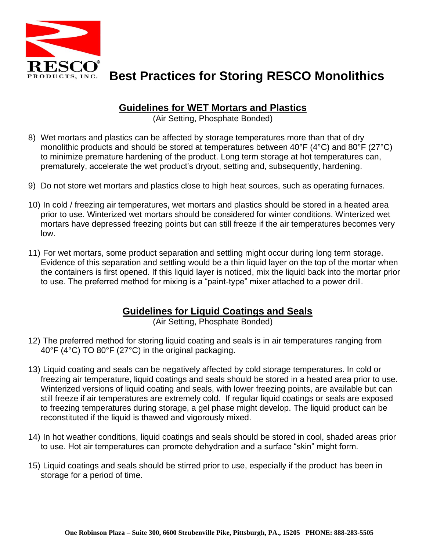

#### **Guidelines for WET Mortars and Plastics**

(Air Setting, Phosphate Bonded)

- 8) Wet mortars and plastics can be affected by storage temperatures more than that of dry monolithic products and should be stored at temperatures between 40°F (4°C) and 80°F (27°C) to minimize premature hardening of the product. Long term storage at hot temperatures can, prematurely, accelerate the wet product's dryout, setting and, subsequently, hardening.
- 9) Do not store wet mortars and plastics close to high heat sources, such as operating furnaces.
- 10) In cold / freezing air temperatures, wet mortars and plastics should be stored in a heated area prior to use. Winterized wet mortars should be considered for winter conditions. Winterized wet mortars have depressed freezing points but can still freeze if the air temperatures becomes very low.
- 11) For wet mortars, some product separation and settling might occur during long term storage. Evidence of this separation and settling would be a thin liquid layer on the top of the mortar when the containers is first opened. If this liquid layer is noticed, mix the liquid back into the mortar prior to use. The preferred method for mixing is a "paint-type" mixer attached to a power drill.

#### **Guidelines for Liquid Coatings and Seals**

(Air Setting, Phosphate Bonded)

- 12) The preferred method for storing liquid coating and seals is in air temperatures ranging from 40°F (4°C) TO 80°F (27°C) in the original packaging.
- 13) Liquid coating and seals can be negatively affected by cold storage temperatures. In cold or freezing air temperature, liquid coatings and seals should be stored in a heated area prior to use. Winterized versions of liquid coating and seals, with lower freezing points, are available but can still freeze if air temperatures are extremely cold. If regular liquid coatings or seals are exposed to freezing temperatures during storage, a gel phase might develop. The liquid product can be reconstituted if the liquid is thawed and vigorously mixed.
- 14) In hot weather conditions, liquid coatings and seals should be stored in cool, shaded areas prior to use. Hot air temperatures can promote dehydration and a surface "skin" might form.
- 15) Liquid coatings and seals should be stirred prior to use, especially if the product has been in storage for a period of time.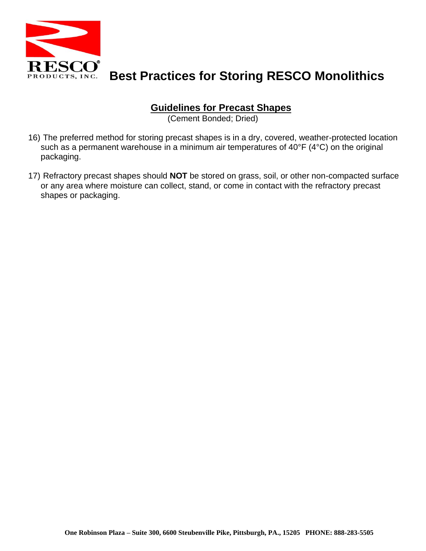

#### **Guidelines for Precast Shapes**

(Cement Bonded; Dried)

- 16) The preferred method for storing precast shapes is in a dry, covered, weather-protected location such as a permanent warehouse in a minimum air temperatures of 40°F (4°C) on the original packaging.
- 17) Refractory precast shapes should **NOT** be stored on grass, soil, or other non-compacted surface or any area where moisture can collect, stand, or come in contact with the refractory precast shapes or packaging.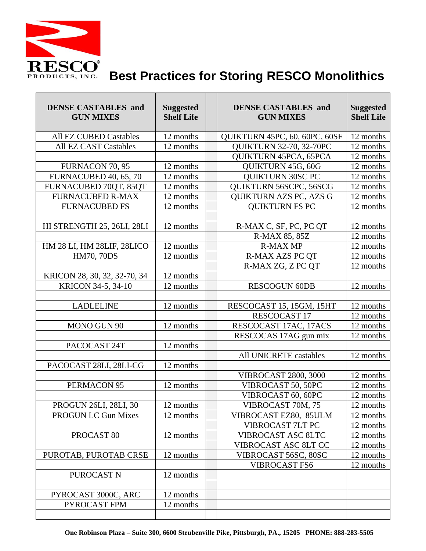

 $\blacksquare$ 

## **Best Practices for Storing RESCO Monolithics**

| <b>DENSE CASTABLES</b> and<br><b>GUN MIXES</b> | <b>Suggested</b><br><b>Shelf Life</b> | <b>DENSE CASTABLES</b> and<br><b>GUN MIXES</b> | <b>Suggested</b><br><b>Shelf Life</b> |
|------------------------------------------------|---------------------------------------|------------------------------------------------|---------------------------------------|
| All EZ CUBED Castables                         | 12 months                             | QUIKTURN 45PC, 60, 60PC, 60SF                  | 12 months                             |
| <b>All EZ CAST Castables</b>                   | 12 months                             | <b>QUIKTURN 32-70, 32-70PC</b>                 | 12 months                             |
|                                                |                                       | QUIKTURN 45PCA, 65PCA                          | 12 months                             |
| FURNACON 70, 95                                | 12 months                             | QUIKTURN 45G, 60G                              | 12 months                             |
| FURNACUBED 40, 65, 70                          | 12 months                             | <b>QUIKTURN 30SC PC</b>                        | 12 months                             |
| FURNACUBED 70QT, 85QT                          | 12 months                             | QUIKTURN 56SCPC, 56SCG                         | 12 months                             |
| <b>FURNACUBED R-MAX</b>                        | 12 months                             | QUIKTURN AZS PC, AZS G                         | 12 months                             |
| <b>FURNACUBED FS</b>                           | 12 months                             | <b>QUIKTURN FS PC</b>                          | 12 months                             |
|                                                |                                       |                                                |                                       |
| HI STRENGTH 25, 26LI, 28LI                     | 12 months                             | R-MAX C, SF, PC, PC QT                         | 12 months                             |
|                                                |                                       | R-MAX 85, 85Z                                  | 12 months                             |
| HM 28 LI, HM 28LIF, 28LICO                     | 12 months                             | <b>R-MAX MP</b>                                | 12 months                             |
| <b>HM70, 70DS</b>                              | 12 months                             | <b>R-MAX AZS PC QT</b>                         | 12 months                             |
|                                                |                                       | R-MAX ZG, Z PC QT                              | 12 months                             |
| KRICON 28, 30, 32, 32-70, 34                   | 12 months                             |                                                |                                       |
| KRICON 34-5, 34-10                             | 12 months                             | <b>RESCOGUN 60DB</b>                           | 12 months                             |
|                                                |                                       |                                                |                                       |
| <b>LADLELINE</b>                               | 12 months                             | RESCOCAST 15, 15GM, 15HT                       | 12 months                             |
|                                                |                                       | RESCOCAST 17                                   | 12 months                             |
| MONO GUN 90                                    | 12 months                             | RESCOCAST 17AC, 17ACS                          | 12 months                             |
|                                                |                                       | RESCOCAS 17AG gun mix                          | 12 months                             |
| PACOCAST 24T                                   | 12 months                             |                                                |                                       |
|                                                |                                       | All UNICRETE castables                         | 12 months                             |
| PACOCAST 28LI, 28LI-CG                         | 12 months                             |                                                |                                       |
|                                                |                                       | <b>VIBROCAST 2800, 3000</b>                    | 12 months                             |
| PERMACON 95                                    | 12 months                             | VIBROCAST 50, 50PC                             | 12 months                             |
|                                                |                                       | VIBROCAST 60, 60PC                             | 12 months                             |
| PROGUN 26LI, 28LI, 30                          | 12 months                             | VIBROCAST 70M, 75                              | 12 months                             |
| <b>PROGUN LC Gun Mixes</b>                     | 12 months                             | VIBROCAST EZ80, 85ULM                          | 12 months                             |
|                                                |                                       | <b>VIBROCAST 7LT PC</b>                        | 12 months                             |
| PROCAST <sub>80</sub>                          | 12 months                             | VIBROCAST ASC 8LTC                             | 12 months                             |
|                                                |                                       | VIBROCAST ASC 8LT CC                           | 12 months                             |
| PUROTAB, PUROTAB CRSE                          | 12 months                             | VIBROCAST 56SC, 80SC                           | 12 months                             |
|                                                |                                       | <b>VIBROCAST FS6</b>                           | 12 months                             |
| PUROCAST <sub>N</sub>                          | 12 months                             |                                                |                                       |
|                                                |                                       |                                                |                                       |
| PYROCAST 3000C, ARC                            | 12 months                             |                                                |                                       |
| PYROCAST FPM                                   | 12 months                             |                                                |                                       |
|                                                |                                       |                                                |                                       |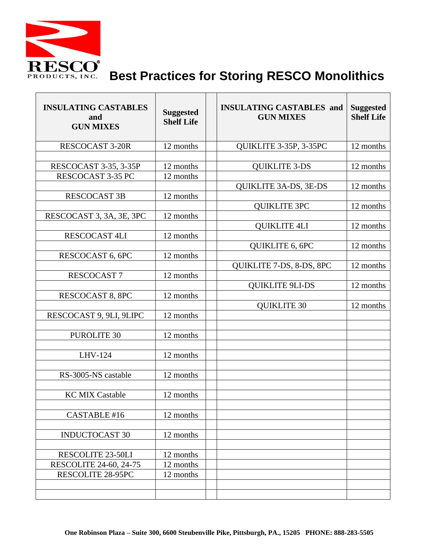

| <b>INSULATING CASTABLES</b><br>and<br><b>GUN MIXES</b> | <b>Suggested</b><br><b>Shelf Life</b> | <b>INSULATING CASTABLES and</b><br><b>GUN MIXES</b> | <b>Suggested</b><br><b>Shelf Life</b> |
|--------------------------------------------------------|---------------------------------------|-----------------------------------------------------|---------------------------------------|
| <b>RESCOCAST 3-20R</b>                                 | 12 months                             | QUIKLITE 3-35P, 3-35PC                              | 12 months                             |
|                                                        |                                       |                                                     |                                       |
| RESCOCAST 3-35, 3-35P                                  | 12 months                             | <b>QUIKLITE 3-DS</b>                                | 12 months                             |
| RESCOCAST 3-35 PC                                      | 12 months                             |                                                     |                                       |
|                                                        |                                       | QUIKLITE 3A-DS, 3E-DS                               | 12 months                             |
| <b>RESCOCAST 3B</b>                                    | 12 months                             |                                                     | 12 months                             |
| RESCOCAST 3, 3A, 3E, 3PC                               | 12 months                             | <b>QUIKLITE 3PC</b>                                 |                                       |
|                                                        |                                       | <b>QUIKLITE 4LI</b>                                 | 12 months                             |
| <b>RESCOCAST 4LI</b>                                   | 12 months                             |                                                     |                                       |
|                                                        |                                       | <b>QUIKLITE 6, 6PC</b>                              | 12 months                             |
| RESCOCAST 6, 6PC                                       | 12 months                             |                                                     |                                       |
|                                                        |                                       | QUIKLITE 7-DS, 8-DS, 8PC                            | 12 months                             |
| <b>RESCOCAST7</b>                                      | 12 months                             |                                                     |                                       |
|                                                        |                                       | <b>QUIKLITE 9LI-DS</b>                              | 12 months                             |
| RESCOCAST 8, 8PC                                       | 12 months                             |                                                     |                                       |
|                                                        |                                       | <b>QUIKLITE 30</b>                                  | 12 months                             |
| RESCOCAST 9, 9LI, 9LIPC                                | 12 months                             |                                                     |                                       |
|                                                        |                                       |                                                     |                                       |
| <b>PUROLITE 30</b>                                     | 12 months                             |                                                     |                                       |
|                                                        |                                       |                                                     |                                       |
| LHV-124                                                | 12 months                             |                                                     |                                       |
|                                                        |                                       |                                                     |                                       |
| RS-3005-NS castable                                    | 12 months                             |                                                     |                                       |
| <b>KC MIX Castable</b>                                 | 12 months                             |                                                     |                                       |
|                                                        |                                       |                                                     |                                       |
| CASTABLE #16                                           | 12 months                             |                                                     |                                       |
|                                                        |                                       |                                                     |                                       |
| <b>INDUCTOCAST 30</b>                                  | 12 months                             |                                                     |                                       |
|                                                        |                                       |                                                     |                                       |
| RESCOLITE 23-50LI                                      | 12 months                             |                                                     |                                       |
| RESCOLITE 24-60, 24-75                                 | 12 months                             |                                                     |                                       |
| RESCOLITE 28-95PC                                      | 12 months                             |                                                     |                                       |
|                                                        |                                       |                                                     |                                       |
|                                                        |                                       |                                                     |                                       |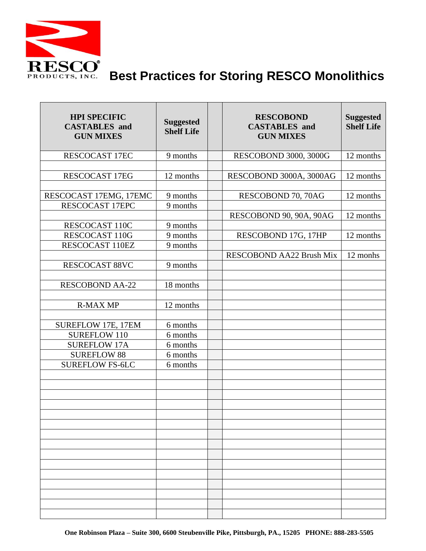

| <b>HPI SPECIFIC</b><br><b>CASTABLES</b> and<br><b>GUN MIXES</b> | <b>Suggested</b><br><b>Shelf Life</b> | <b>RESCOBOND</b><br><b>CASTABLES</b> and<br><b>GUN MIXES</b> | <b>Suggested</b><br><b>Shelf Life</b> |
|-----------------------------------------------------------------|---------------------------------------|--------------------------------------------------------------|---------------------------------------|
| <b>RESCOCAST 17EC</b>                                           | 9 months                              | RESCOBOND 3000, 3000G                                        | 12 months                             |
|                                                                 |                                       |                                                              |                                       |
| <b>RESCOCAST 17EG</b>                                           | 12 months                             | RESCOBOND 3000A, 3000AG                                      | 12 months                             |
|                                                                 |                                       |                                                              |                                       |
| RESCOCAST 17EMG, 17EMC                                          | 9 months                              | RESCOBOND 70, 70AG                                           | 12 months                             |
| <b>RESCOCAST 17EPC</b>                                          | 9 months                              |                                                              |                                       |
|                                                                 |                                       | RESCOBOND 90, 90A, 90AG                                      | 12 months                             |
| RESCOCAST 110C                                                  | 9 months                              |                                                              |                                       |
| RESCOCAST 110G                                                  | 9 months                              | RESCOBOND 17G, 17HP                                          | 12 months                             |
| RESCOCAST 110EZ                                                 | 9 months                              |                                                              |                                       |
|                                                                 |                                       | <b>RESCOBOND AA22 Brush Mix</b>                              | 12 monhs                              |
| <b>RESCOCAST 88VC</b>                                           | 9 months                              |                                                              |                                       |
|                                                                 |                                       |                                                              |                                       |
| <b>RESCOBOND AA-22</b>                                          | 18 months                             |                                                              |                                       |
|                                                                 |                                       |                                                              |                                       |
| <b>R-MAX MP</b>                                                 | 12 months                             |                                                              |                                       |
|                                                                 |                                       |                                                              |                                       |
| SUREFLOW 17E, 17EM                                              | 6 months                              |                                                              |                                       |
| <b>SUREFLOW 110</b>                                             | 6 months                              |                                                              |                                       |
| <b>SUREFLOW 17A</b>                                             | 6 months                              |                                                              |                                       |
| <b>SUREFLOW 88</b>                                              | 6 months                              |                                                              |                                       |
| <b>SUREFLOW FS-6LC</b>                                          | 6 months                              |                                                              |                                       |
|                                                                 |                                       |                                                              |                                       |
|                                                                 |                                       |                                                              |                                       |
|                                                                 |                                       |                                                              |                                       |
|                                                                 |                                       |                                                              |                                       |
|                                                                 |                                       |                                                              |                                       |
|                                                                 |                                       |                                                              |                                       |
|                                                                 |                                       |                                                              |                                       |
|                                                                 |                                       |                                                              |                                       |
|                                                                 |                                       |                                                              |                                       |
|                                                                 |                                       |                                                              |                                       |
|                                                                 |                                       |                                                              |                                       |
|                                                                 |                                       |                                                              |                                       |
|                                                                 |                                       |                                                              |                                       |
|                                                                 |                                       |                                                              |                                       |
|                                                                 |                                       |                                                              |                                       |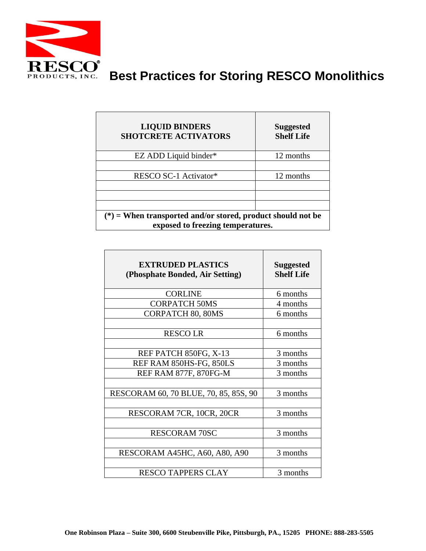

| <b>LIQUID BINDERS</b><br><b>SHOTCRETE ACTIVATORS</b>                                               | <b>Suggested</b><br><b>Shelf Life</b> |  |  |
|----------------------------------------------------------------------------------------------------|---------------------------------------|--|--|
| EZ ADD Liquid binder*                                                                              | 12 months                             |  |  |
|                                                                                                    |                                       |  |  |
| RESCO SC-1 Activator*                                                                              | 12 months                             |  |  |
|                                                                                                    |                                       |  |  |
|                                                                                                    |                                       |  |  |
|                                                                                                    |                                       |  |  |
| $(*)$ = When transported and/or stored, product should not be<br>exposed to freezing temperatures. |                                       |  |  |

| <b>EXTRUDED PLASTICS</b><br>(Phosphate Bonded, Air Setting) | <b>Suggested</b><br><b>Shelf Life</b> |
|-------------------------------------------------------------|---------------------------------------|
| <b>CORLINE</b>                                              | 6 months                              |
| <b>CORPATCH 50MS</b>                                        | 4 months                              |
| <b>CORPATCH 80, 80MS</b>                                    | 6 months                              |
|                                                             |                                       |
| <b>RESCOLR</b>                                              | 6 months                              |
|                                                             |                                       |
| REF PATCH 850FG, X-13                                       | 3 months                              |
| REF RAM 850HS-FG, 850LS                                     | 3 months                              |
| REF RAM 877F, 870FG-M                                       | 3 months                              |
|                                                             |                                       |
| RESCORAM 60, 70 BLUE, 70, 85, 85S, 90                       | 3 months                              |
|                                                             |                                       |
| RESCORAM 7CR, 10CR, 20CR                                    | 3 months                              |
|                                                             |                                       |
| <b>RESCORAM 70SC</b>                                        | 3 months                              |
|                                                             |                                       |
| RESCORAM A45HC, A60, A80, A90                               | 3 months                              |
|                                                             |                                       |
| <b>RESCO TAPPERS CLAY</b>                                   | 3 months                              |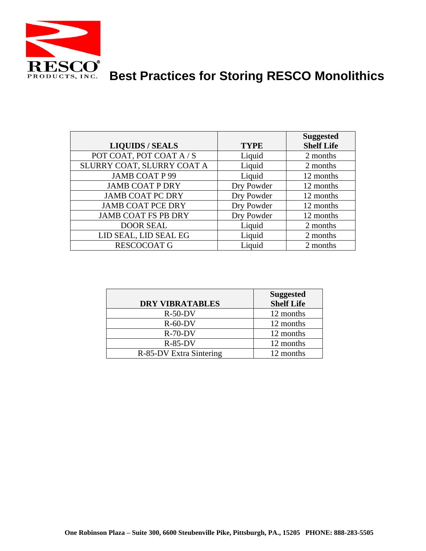

# **BEST PRODUCTS, INC.** Best Practices for Storing RESCO Monolithics

|                            |             | <b>Suggested</b>  |
|----------------------------|-------------|-------------------|
| <b>LIQUIDS / SEALS</b>     | <b>TYPE</b> | <b>Shelf Life</b> |
| POT COAT, POT COAT A / S   | Liquid      | 2 months          |
| SLURRY COAT, SLURRY COAT A | Liquid      | 2 months          |
| JAMB COAT P 99             | Liquid      | 12 months         |
| <b>JAMB COAT P DRY</b>     | Dry Powder  | 12 months         |
| <b>JAMB COAT PC DRY</b>    | Dry Powder  | 12 months         |
| <b>JAMB COAT PCE DRY</b>   | Dry Powder  | 12 months         |
| <b>JAMB COAT FS PB DRY</b> | Dry Powder  | 12 months         |
| <b>DOOR SEAL</b>           | Liquid      | 2 months          |
| LID SEAL, LID SEAL EG      | Liquid      | 2 months          |
| <b>RESCOCOAT G</b>         | Liquid      | 2 months          |

| <b>Suggested</b><br><b>Shelf Life</b> |
|---------------------------------------|
| 12 months                             |
| 12 months                             |
| 12 months                             |
| 12 months                             |
| 12 months                             |
|                                       |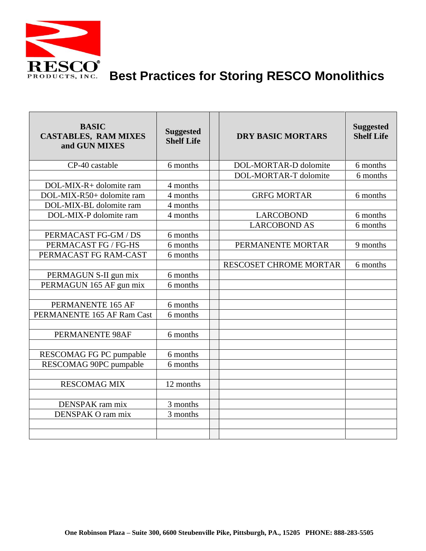

# **BEST PRODUCTS, INC.** Best Practices for Storing RESCO Monolithics

| <b>BASIC</b><br><b>CASTABLES, RAM MIXES</b><br>and GUN MIXES | <b>Suggested</b><br><b>Shelf Life</b> | <b>DRY BASIC MORTARS</b> | <b>Suggested</b><br><b>Shelf Life</b> |
|--------------------------------------------------------------|---------------------------------------|--------------------------|---------------------------------------|
| CP-40 castable                                               | 6 months                              | DOL-MORTAR-D dolomite    | 6 months                              |
|                                                              |                                       | DOL-MORTAR-T dolomite    | 6 months                              |
| DOL-MIX-R+ dolomite ram                                      | 4 months                              |                          |                                       |
| DOL-MIX-R50+ dolomite ram                                    | 4 months                              | <b>GRFG MORTAR</b>       | 6 months                              |
| DOL-MIX-BL dolomite ram                                      | 4 months                              |                          |                                       |
| DOL-MIX-P dolomite ram                                       | 4 months                              | <b>LARCOBOND</b>         | 6 months                              |
|                                                              |                                       | <b>LARCOBOND AS</b>      | 6 months                              |
| PERMACAST FG-GM / DS                                         | 6 months                              |                          |                                       |
| PERMACAST FG / FG-HS                                         | 6 months                              | PERMANENTE MORTAR        | 9 months                              |
| PERMACAST FG RAM-CAST                                        | 6 months                              |                          |                                       |
|                                                              |                                       | RESCOSET CHROME MORTAR   | 6 months                              |
| PERMAGUN S-II gun mix                                        | 6 months                              |                          |                                       |
| PERMAGUN 165 AF gun mix                                      | 6 months                              |                          |                                       |
|                                                              |                                       |                          |                                       |
| PERMANENTE 165 AF                                            | 6 months                              |                          |                                       |
| PERMANENTE 165 AF Ram Cast                                   | 6 months                              |                          |                                       |
|                                                              |                                       |                          |                                       |
| PERMANENTE 98AF                                              | 6 months                              |                          |                                       |
|                                                              |                                       |                          |                                       |
| RESCOMAG FG PC pumpable                                      | 6 months                              |                          |                                       |
| RESCOMAG 90PC pumpable                                       | 6 months                              |                          |                                       |
|                                                              |                                       |                          |                                       |
| <b>RESCOMAG MIX</b>                                          | 12 months                             |                          |                                       |
|                                                              |                                       |                          |                                       |
| DENSPAK ram mix                                              | 3 months                              |                          |                                       |
| DENSPAK O ram mix                                            | 3 months                              |                          |                                       |
|                                                              |                                       |                          |                                       |
|                                                              |                                       |                          |                                       |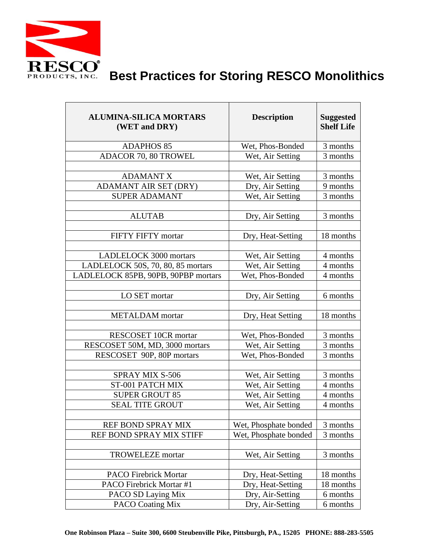

 $\Gamma$ 

## **Best Practices for Storing RESCO Monolithics**

| <b>ALUMINA-SILICA MORTARS</b><br>(WET and DRY) | <b>Description</b>    | <b>Suggested</b><br><b>Shelf Life</b> |
|------------------------------------------------|-----------------------|---------------------------------------|
| <b>ADAPHOS 85</b>                              | Wet, Phos-Bonded      | 3 months                              |
| ADACOR 70, 80 TROWEL                           | Wet, Air Setting      | 3 months                              |
|                                                |                       |                                       |
| <b>ADAMANT X</b>                               | Wet, Air Setting      | 3 months                              |
| ADAMANT AIR SET (DRY)                          | Dry, Air Setting      | 9 months                              |
| <b>SUPER ADAMANT</b>                           | Wet, Air Setting      | 3 months                              |
|                                                |                       |                                       |
| <b>ALUTAB</b>                                  | Dry, Air Setting      | 3 months                              |
|                                                |                       |                                       |
| FIFTY FIFTY mortar                             | Dry, Heat-Setting     | 18 months                             |
|                                                |                       |                                       |
| <b>LADLELOCK 3000 mortars</b>                  | Wet, Air Setting      | 4 months                              |
| LADLELOCK 50S, 70, 80, 85 mortars              | Wet, Air Setting      | 4 months                              |
| LADLELOCK 85PB, 90PB, 90PBP mortars            | Wet, Phos-Bonded      | 4 months                              |
|                                                |                       |                                       |
| LO SET mortar                                  | Dry, Air Setting      | 6 months                              |
|                                                |                       |                                       |
| <b>METALDAM</b> mortar                         | Dry, Heat Setting     | 18 months                             |
|                                                |                       |                                       |
| RESCOSET 10CR mortar                           | Wet, Phos-Bonded      | 3 months                              |
| RESCOSET 50M, MD, 3000 mortars                 | Wet, Air Setting      | 3 months                              |
| RESCOSET 90P, 80P mortars                      | Wet, Phos-Bonded      | 3 months                              |
|                                                |                       |                                       |
| SPRAY MIX S-506                                | Wet, Air Setting      | 3 months                              |
| ST-001 PATCH MIX                               | Wet, Air Setting      | 4 months                              |
| <b>SUPER GROUT 85</b>                          | Wet, Air Setting      | 4 months                              |
| <b>SEAL TITE GROUT</b>                         | Wet, Air Setting      | 4 months                              |
|                                                |                       |                                       |
| REF BOND SPRAY MIX                             | Wet, Phosphate bonded | 3 months                              |
| REF BOND SPRAY MIX STIFF                       | Wet, Phosphate bonded | 3 months                              |
|                                                |                       |                                       |
| <b>TROWELEZE</b> mortar                        | Wet, Air Setting      | 3 months                              |
|                                                |                       |                                       |
| <b>PACO Firebrick Mortar</b>                   | Dry, Heat-Setting     | 18 months                             |
| PACO Firebrick Mortar #1                       | Dry, Heat-Setting     | 18 months                             |
| PACO SD Laying Mix                             | Dry, Air-Setting      | 6 months                              |
| PACO Coating Mix                               | Dry, Air-Setting      | 6 months                              |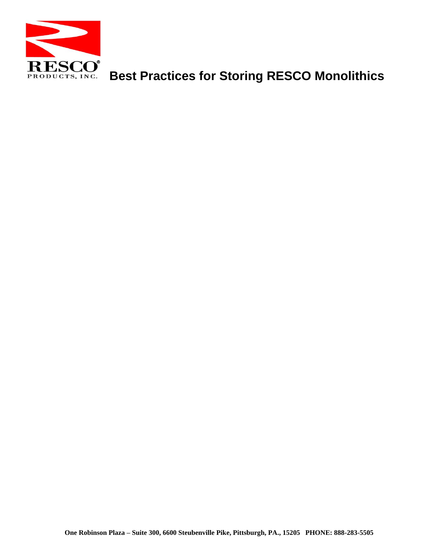

# **BEST PRODUCTS, INC.** Best Practices for Storing RESCO Monolithics